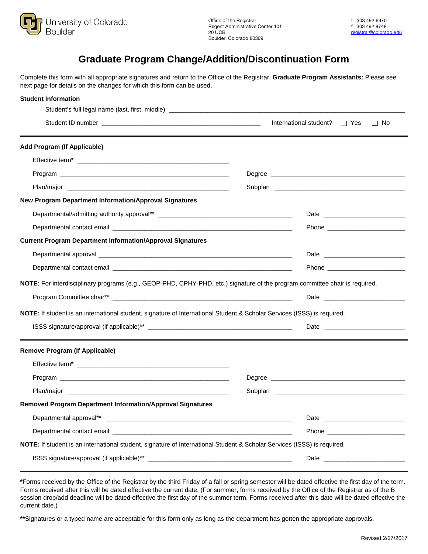

## **Graduate Program Change/Addition/Discontinuation Form**

Complete this form with all appropriate signatures and return to the Office of the Registrar. **Graduate Program Assistants:** Please see next page for details on the changes for which this form can be used.

| <b>Student Information</b>                                                                                                                                                                                                    |                                                                                                                         |                                  |
|-------------------------------------------------------------------------------------------------------------------------------------------------------------------------------------------------------------------------------|-------------------------------------------------------------------------------------------------------------------------|----------------------------------|
|                                                                                                                                                                                                                               | International student? $\Box$ Yes $\Box$ No                                                                             |                                  |
| <b>Add Program (If Applicable)</b>                                                                                                                                                                                            |                                                                                                                         |                                  |
|                                                                                                                                                                                                                               |                                                                                                                         |                                  |
|                                                                                                                                                                                                                               | Degree <b>Degree Degree Degree Degree Degree Degree Degree Degree Degree Degree Degree Degree Degree Degree Degree </b> |                                  |
|                                                                                                                                                                                                                               |                                                                                                                         |                                  |
| New Program Department Information/Approval Signatures                                                                                                                                                                        |                                                                                                                         |                                  |
|                                                                                                                                                                                                                               |                                                                                                                         |                                  |
|                                                                                                                                                                                                                               |                                                                                                                         | Phone __________________________ |
| <b>Current Program Department Information/Approval Signatures</b>                                                                                                                                                             |                                                                                                                         |                                  |
|                                                                                                                                                                                                                               |                                                                                                                         |                                  |
|                                                                                                                                                                                                                               |                                                                                                                         |                                  |
| NOTE: For interdisciplinary programs (e.g., GEOP-PHD, CPHY-PHD, etc.) signature of the program committee chair is required.                                                                                                   |                                                                                                                         |                                  |
|                                                                                                                                                                                                                               |                                                                                                                         |                                  |
| NOTE: If student is an international student, signature of International Student & Scholar Services (ISSS) is required.                                                                                                       |                                                                                                                         |                                  |
|                                                                                                                                                                                                                               |                                                                                                                         |                                  |
| <b>Remove Program (If Applicable)</b>                                                                                                                                                                                         |                                                                                                                         |                                  |
|                                                                                                                                                                                                                               |                                                                                                                         |                                  |
|                                                                                                                                                                                                                               |                                                                                                                         |                                  |
| Plan/major experience and the contract of the contract of the contract of the contract of the contract of the contract of the contract of the contract of the contract of the contract of the contract of the contract of the |                                                                                                                         |                                  |
| <b>Removed Program Department Information/Approval Signatures</b>                                                                                                                                                             |                                                                                                                         |                                  |
|                                                                                                                                                                                                                               |                                                                                                                         |                                  |
|                                                                                                                                                                                                                               |                                                                                                                         | Phone <b>Phone</b>               |
| NOTE: If student is an international student, signature of International Student & Scholar Services (ISSS) is required.                                                                                                       |                                                                                                                         |                                  |
|                                                                                                                                                                                                                               |                                                                                                                         |                                  |

**\***Forms received by the Office of the Registrar by the third Friday of a fall or spring semester will be dated effective the first day of the term. Forms received after this will be dated effective the current date. (For summer, forms received by the Office of the Registrar as of the B session drop/add deadline will be dated effective the first day of the summer term. Forms received after this date will be dated effective the current date.)

**\*\***Signatures or a typed name are acceptable for this form only as long as the department has gotten the appropriate approvals.